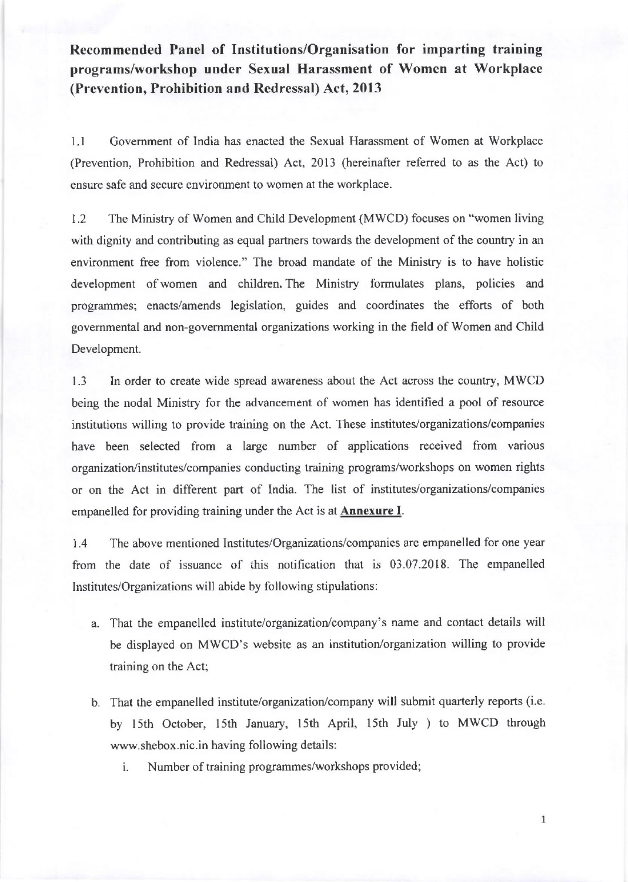Recommended Panel of Institutions/Organisation for imparting training programs/workshop undcr Sexual Harassment of Women at Workplace (Prevention, Prohibition and Redressal) Act, 2013

l.l Govemment of India has enacted the Sexual Harassment of Women at Workplace (Prevention, Prohibition and Redressal) Act, 2013 (hereinafter refened to as the Act) to ensure safe and secure environment to women at the workplace.

1.2 The Ministry of Women and Child Development (MWCD) focuses on "women living with dignity and contributing as equal partners towards the development of the country in an environment free from violence." The broad mandate of the Ministry is to have holistic development of women and children. The Ministry formulates plans, policies and programmes; enacts/amends legislation, guides and coordinates the efforts of both govemmental and non-governmental organizations working in the field of Women and Child Development.

1.3 In order to create wide spread awareness about the Act across the country, MWCD being the nodal Ministry for the advancement of women has identified a pool of resource institutions willing to provide training on the Act. These institutes/organizations/companies have been selected from a large number of applications received from various organization/institutes/companies conducting training programs/workshops on women rights or on the Act in different part of India. The list of institutes/organizations/companies empanelled for providing training under the Act is at Annexure I.

1.4 The above mentioned Institutes/Organizations/companies are empanelled for one year from the date of issuance of this notification that is 03.07.2018. The empanelled lnstitutes/Organizations will abide by following stipulations:

- a. That the empanelled institute/organization/company's name and contact details will be displayed on MWCD's website as an institution/organization willing to provide training on the Act;
- b. That the empanelled institute/organization/company will submit quarterly reports (i.e. by 15th October, 15th January, 15th April, 15th July ) to MWCD through www.shebox.nic.in having following details:
	- i. Number of training programmes/workshops provided;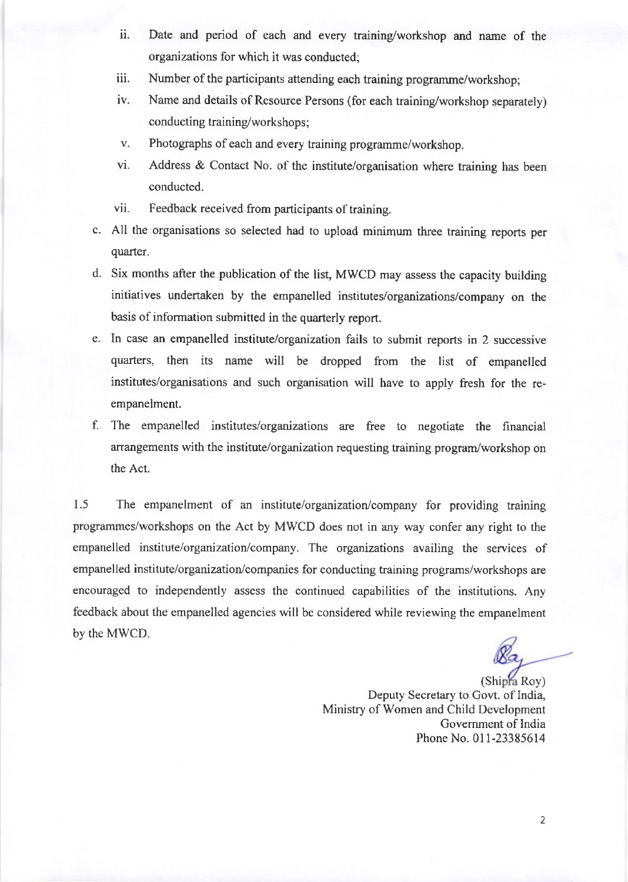- ii. Date and period of each and every training/workshop and name of the organizations for which it was conducted;
- iii. Number of the participants attending each training programme/workshop;
- iv. Name and details of Resource Persons (for each training/workshop separately) conducting training/workshops;
- v. Photographs of each and every training programme/workshop.
- vi. Address & Contact No. of the institute/organisation where training has been conducted.
- vii. Feedback received from participants of training.
- c. All the organisations so selected had to upload minimum three training reports per quarter.
- d. Six months after the publication of the list, MWCD may assess the capacity building initiatives undertaken by the empanelled institutes/organizations/company on the basis of information submitted in the quarterly report.
- e. In case an empanelled institute/organization fails to submit reports in 2 successive quarters, then its name will be dropped from the list of empanelled institutes/organisations and such organisation will have to apply fresh for the reempanelment.
- f. The empanelled institutes/organizations are free to negotiate the frnancial arrangements with the institute/organization requesting training program/workshop on the Act.

1.5 The empanelment of an institute/organization/company for providing training programmes/workshops on the Act by MWCD does not in any way confer any right to the empanelled institute/organization/company. The organizations availing the services of empanelled institute/organization/companies for conducting training programs/workshops are encouraged to independently assess the continued capabilities of the institutions. Any feedback about the empanelled agencies will be considered while reviewing the empanelment by the MWCD

(Shipra Roy) Deputy Secretary to Govt. of India, Ministry of Women and Child Development Govemment of India Phone No. 011-23385614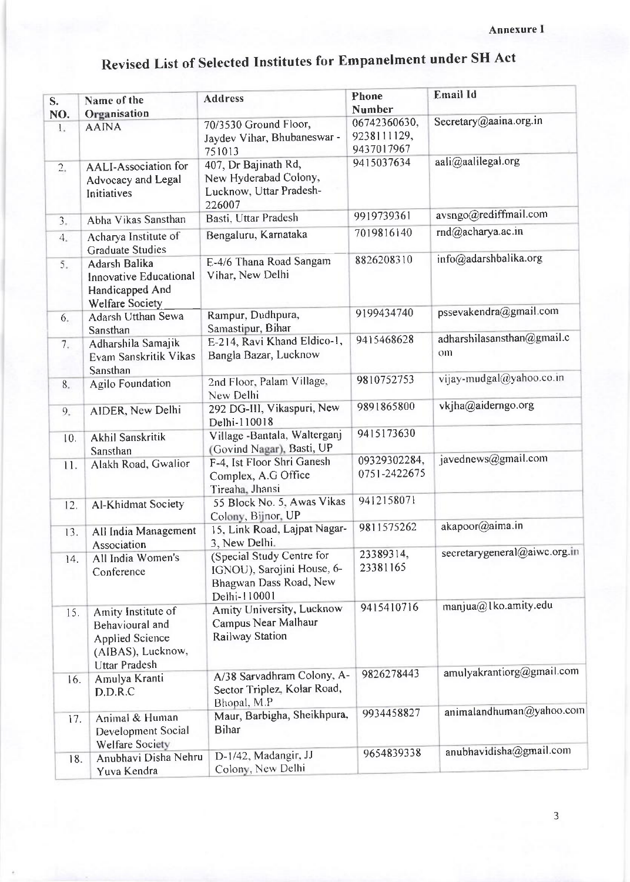| S.<br>NO.    | Name of the<br>Organisation                                                                                  | <b>Address</b>                                                                                    | Phone<br><b>Number</b>                    | <b>Email Id</b>                  |
|--------------|--------------------------------------------------------------------------------------------------------------|---------------------------------------------------------------------------------------------------|-------------------------------------------|----------------------------------|
| $\mathbf{L}$ | <b>AAINA</b>                                                                                                 | 70/3530 Ground Floor,<br>Jaydev Vihar, Bhubaneswar -<br>751013                                    | 06742360630,<br>9238111129,<br>9437017967 | Secretary@aaina.org.in           |
| 2.           | <b>AALI-Association for</b><br>Advocacy and Legal<br>Initiatives                                             | 407, Dr Bajinath Rd,<br>New Hyderabad Colony,<br>Lucknow, Uttar Pradesh-<br>226007                | 9415037634                                | aali@aalilegal.org               |
| 3.           | Abha Vikas Sansthan                                                                                          | Basti, Uttar Pradesh                                                                              | 9919739361                                | avsngo@rediffmail.com            |
| 4.           | Acharya Institute of<br><b>Graduate Studies</b>                                                              | Bengaluru, Karnataka                                                                              | 7019816140                                | rnd@acharya.ac.in                |
| 5.           | Adarsh Balika<br>Innovative Educational<br>Handicapped And<br><b>Welfare Society</b>                         | E-4/6 Thana Road Sangam<br>Vihar, New Delhi                                                       | 8826208310                                | info@adarshbalika.org            |
| 6.           | Adarsh Utthan Sewa<br>Sansthan                                                                               | Rampur, Dudhpura,<br>Samastipur, Bihar                                                            | 9199434740                                | pssevakendra@gmail.com           |
| 7.           | Adharshila Samajik<br>Evam Sanskritik Vikas<br>Sansthan                                                      | E-214, Ravi Khand Eldico-1,<br>Bangla Bazar, Lucknow                                              | 9415468628                                | adharshilasansthan@gmail.c<br>om |
| 8.           | <b>Agilo Foundation</b>                                                                                      | 2nd Floor, Palam Village,<br>New Delhi                                                            | 9810752753                                | vijay-mudgal@yahoo.co.in         |
| 9.           | AIDER, New Delhi                                                                                             | 292 DG-III, Vikaspuri, New<br>Delhi-110018                                                        | 9891865800                                | vkjha@aiderngo.org               |
| 10.          | Akhil Sanskritik<br>Sansthan                                                                                 | Village -Bantala, Walterganj<br>(Govind Nagar), Basti, UP                                         | 9415173630                                |                                  |
| 11.          | Alakh Road, Gwalior                                                                                          | F-4, Ist Floor Shri Ganesh<br>Complex, A.G Office<br>Tireaha, Jhansi                              | 09329302284,<br>0751-2422675              | javednews@gmail.com              |
| 12.          | <b>Al-Khidmat Society</b>                                                                                    | 55 Block No. 5, Awas Vikas<br>Colony, Bijnor, UP                                                  | 9412158071                                |                                  |
| 13.          | All India Management<br>Association                                                                          | 15, Link Road, Lajpat Nagar-<br>3, New Delhi.                                                     | 9811575262                                | akapoor@aima.in                  |
| 14.          | All India Women's<br>Conference                                                                              | (Special Study Centre for<br>IGNOU), Sarojini House, 6-<br>Bhagwan Dass Road, New<br>Delhi-110001 | 23389314,<br>23381165                     | secretarygeneral@aiwc.org.in     |
| 15.          | Amity Institute of<br>Behavioural and<br><b>Applied Science</b><br>(AIBAS), Lucknow,<br><b>Uttar Pradesh</b> | Amity University, Lucknow<br>Campus Near Malhaur<br>Railway Station                               | 9415410716                                | manjua@lko.amity.edu             |
| 16.          | Amulya Kranti<br>D.D.R.C                                                                                     | A/38 Sarvadhram Colony, A-<br>Sector Triplez, Kolar Road,<br>Bhopal, M.P                          | 9826278443                                | amulyakrantiorg@gmail.com        |
| 17.          | Animal & Human<br>Development Social<br><b>Welfare Society</b>                                               | Maur, Barbigha, Sheikhpura,<br><b>Bihar</b>                                                       | 9934458827                                | animalandhuman@yahoo.com         |
| 18.          | Anubhavi Disha Nehru<br>Yuva Kendra                                                                          | D-1/42, Madangir, JJ<br>Colony, New Delhi                                                         | 9654839338                                | anubhavidisha@gmail.com          |

## Revised List of Selected Institutes for Empanelment under SH Act

 $\overline{\phantom{a}}$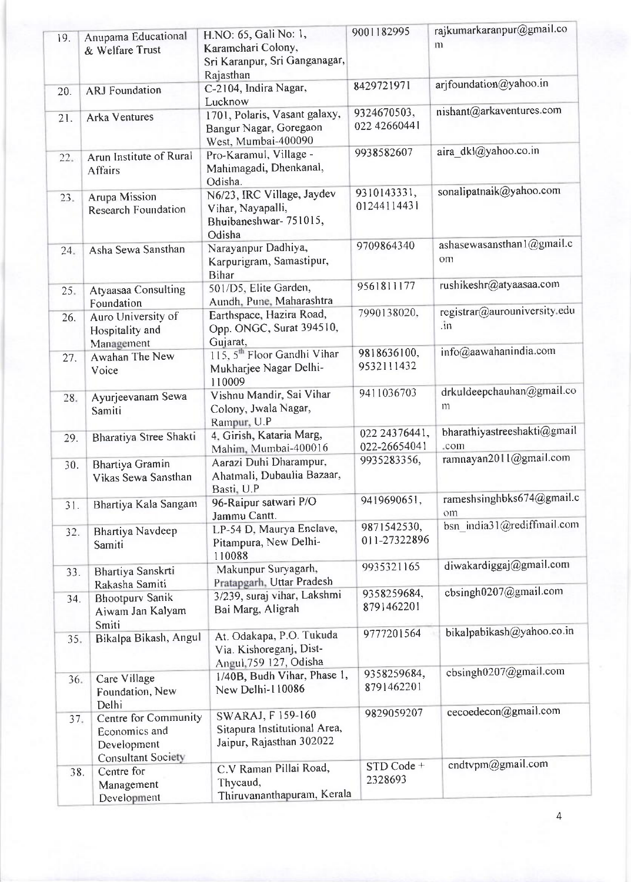| 19. | Anupama Educational<br>& Welfare Trust                                            | H.NO: 65, Gali No: 1,<br>Karamchari Colony,<br>Sri Karanpur, Sri Ganganagar,        | 9001182995                    | rajkumarkaranpur@gmail.co<br>$\mathbf{m}$  |
|-----|-----------------------------------------------------------------------------------|-------------------------------------------------------------------------------------|-------------------------------|--------------------------------------------|
|     |                                                                                   | Rajasthan                                                                           |                               |                                            |
| 20. | <b>ARJ</b> Foundation                                                             | C-2104, Indira Nagar,<br>Lucknow                                                    | 8429721971                    | arjfoundation@yahoo.in                     |
| 21. | <b>Arka Ventures</b>                                                              | 1701, Polaris, Vasant galaxy,<br>Bangur Nagar, Goregaon<br>West, Mumbai-400090      | 9324670503,<br>022 42660441   | nishant@arkaventures.com                   |
| 22. | Arun Institute of Rural<br><b>Affairs</b>                                         | Pro-Karamul, Village -<br>Mahimagadi, Dhenkanal,<br>Odisha.                         | 9938582607                    | aira dkl@yahoo.co.in                       |
| 23. | Arupa Mission<br><b>Research Foundation</b>                                       | N6/23, IRC Village, Jaydev<br>Vihar, Nayapalli,<br>Bhuibaneshwar-751015,<br>Odisha  | 9310143331,<br>01244114431    | sonalipatnaik@yahoo.com                    |
| 24. | Asha Sewa Sansthan                                                                | Narayanpur Dadhiya,<br>Karpurigram, Samastipur,<br><b>Bihar</b>                     | 9709864340                    | ashasewasansthan1@gmail.c<br>om            |
| 25. | Atyaasaa Consulting<br>Foundation                                                 | 501/D5, Elite Garden,<br>Aundh, Pune, Maharashtra                                   | 9561811177                    | rushikeshr@atyaasaa.com                    |
| 26. | Auro University of<br>Hospitality and<br>Management                               | Earthspace, Hazira Road,<br>Opp. ONGC, Surat 394510,<br>Gujarat,                    | 7990138020,                   | registrar@aurouniversity.edu<br>$\cdot$ in |
| 27. | Awahan The New<br>Voice                                                           | 115, 5 <sup>th</sup> Floor Gandhi Vihar<br>Mukharjee Nagar Delhi-<br>110009         | 9818636100,<br>9532111432     | info@aawahanindia.com                      |
| 28. | Ayurjeevanam Sewa<br>Samiti                                                       | Vishnu Mandir, Sai Vihar<br>Colony, Jwala Nagar,<br>Rampur, U.P.                    | 9411036703                    | drkuldeepchauhan@gmail.co<br>m             |
| 29. | Bharatiya Stree Shakti                                                            | 4, Girish, Kataria Marg,<br>Mahim, Mumbai-400016                                    | 022 24376441,<br>022-26654041 | bharathiyastreeshakti@gmail<br>.com        |
| 30. | <b>Bhartiya Gramin</b><br>Vikas Sewa Sansthan                                     | Aarazi Duhi Dharampur,<br>Ahatmali, Dubaulia Bazaar,<br>Basti, U.P                  | 9935283356,                   | ramnayan2011@gmail.com                     |
| 31. | Bhartiya Kala Sangam                                                              | 96-Raipur satwari P/O<br>Jammu Cantt.                                               | 9419690651,                   | rameshsinghbks674@gmail.c<br>om            |
| 32. | <b>Bhartiya Navdeep</b><br>Samiti                                                 | LP-54 D, Maurya Enclave,<br>Pitampura, New Delhi-<br>110088                         | 9871542530,<br>011-27322896   | bsn india31@rediffmail.com                 |
| 33. | Bhartiya Sanskrti<br>Rakasha Samiti                                               | Makunpur Suryagarh,<br>Pratapgarh, Uttar Pradesh                                    | 9935321165                    | diwakardiggaj@gmail.com                    |
| 34. | <b>Bhootpury Sanik</b><br>Aiwam Jan Kalyam<br>Smiti                               | 3/239, suraj vihar, Lakshmi<br>Bai Marg, Aligrah                                    | 9358259684,<br>8791462201     | cbsingh0207@gmail.com                      |
| 35. | Bikalpa Bikash, Angul                                                             | At. Odakapa, P.O. Tukuda<br>Via. Kishoreganj, Dist-<br>Angul, 759 127, Odisha       | 9777201564                    | bikalpabikash@yahoo.co.in                  |
| 36. | Care Village<br>Foundation, New<br>Delhi                                          | 1/40B, Budh Vihar, Phase 1,<br>New Delhi-110086                                     | 9358259684,<br>8791462201     | cbsingh0207@gmail.com                      |
| 37. | Centre for Community<br>Economics and<br>Development<br><b>Consultant Society</b> | <b>SWARAJ, F159-160</b><br>Sitapura Institutional Area,<br>Jaipur, Rajasthan 302022 | 9829059207                    | cecoedecon@gmail.com                       |
| 38. | Centre for<br>Management<br>Development                                           | C.V Raman Pillai Road,<br>Thycaud,<br>Thiruvananthapuram, Kerala                    | STD Code +<br>2328693         | cndtvpm@gmail.com                          |

4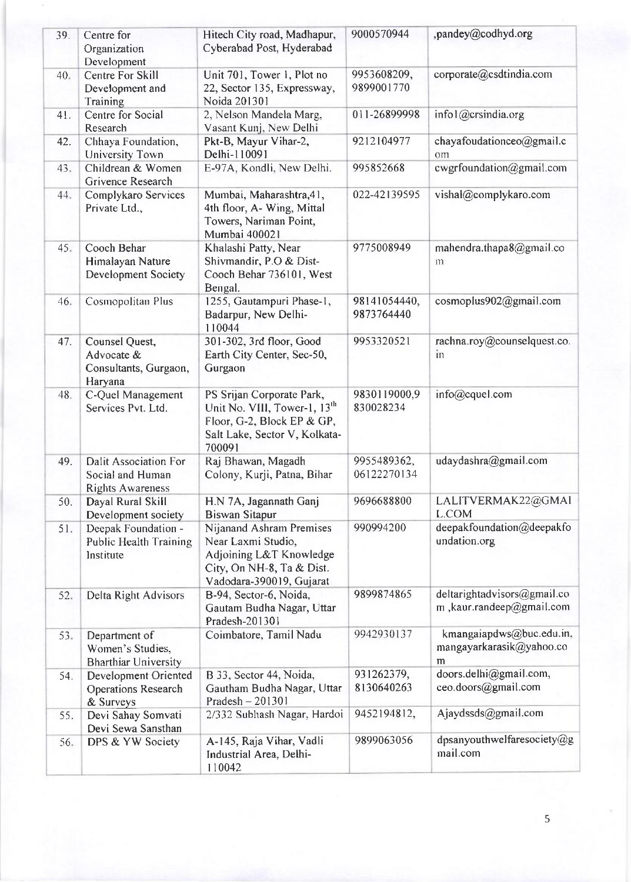| 39. | Centre for<br>Organization                                           | Hitech City road, Madhapur,<br>Cyberabad Post, Hyderabad                                                                                       | 9000570944                 | ,pandey@codhyd.org                                        |
|-----|----------------------------------------------------------------------|------------------------------------------------------------------------------------------------------------------------------------------------|----------------------------|-----------------------------------------------------------|
| 40. | Development<br>Centre For Skill<br>Development and<br>Training       | Unit 701, Tower 1, Plot no<br>22, Sector 135, Expressway,<br>Noida 201301                                                                      | 9953608209,<br>9899001770  | corporate@csdtindia.com                                   |
| 41. | Centre for Social<br>Research                                        | 2, Nelson Mandela Marg,<br>Vasant Kunj, New Delhi                                                                                              | 011-26899998               | infol@crsindia.org                                        |
| 42. | Chhaya Foundation,<br>University Town                                | Pkt-B, Mayur Vihar-2,<br>Delhi-110091                                                                                                          | 9212104977                 | chayafoudationceo@gmail.c<br>om                           |
| 43. | Childrean & Women<br>Grivence Research                               | E-97A, Kondli, New Delhi.                                                                                                                      | 995852668                  | cwgrfoundation@gmail.com                                  |
| 44. | Complykaro Services<br>Private Ltd.,                                 | Mumbai, Maharashtra, 41,<br>4th floor, A- Wing, Mittal<br>Towers, Nariman Point,<br>Mumbai 400021                                              | 022-42139595               | vishal@complykaro.com                                     |
| 45. | Cooch Behar<br>Himalayan Nature<br>Development Society               | Khalashi Patty, Near<br>Shivmandir, P.O & Dist-<br>Cooch Behar 736101, West<br>Bengal.                                                         | 9775008949                 | mahendra.thapa8@gmail.co<br>m                             |
| 46. | Cosmopolitan Plus                                                    | 1255, Gautampuri Phase-1,<br>Badarpur, New Delhi-<br>110044                                                                                    | 98141054440,<br>9873764440 | cosmoplus902@gmail.com                                    |
| 47. | Counsel Quest,<br>Advocate &<br>Consultants, Gurgaon,<br>Haryana     | 301-302, 3rd floor, Good<br>Earth City Center, Sec-50,<br>Gurgaon                                                                              | 9953320521                 | rachna.roy@counselquest.co.<br>in                         |
| 48. | C-Quel Management<br>Services Pvt. Ltd.                              | PS Srijan Corporate Park,<br>Unit No. VIII, Tower-1, 13 <sup>th</sup><br>Floor, G-2, Block EP & GP,<br>Salt Lake, Sector V, Kolkata-<br>700091 | 9830119000,9<br>830028234  | $info(\omega$ cquel.com                                   |
| 49. | Dalit Association For<br>Social and Human<br><b>Rights Awareness</b> | Raj Bhawan, Magadh<br>Colony, Kurji, Patna, Bihar                                                                                              | 9955489362,<br>06122270134 | udaydashra@gmail.com                                      |
| 50. | Dayal Rural Skill<br>Development society                             | H.N 7A, Jagannath Ganj<br><b>Biswan Sitapur</b>                                                                                                | 9696688800                 | LALITVERMAK22@GMAI<br>L.COM                               |
| 51. | Deepak Foundation -<br><b>Public Health Training</b><br>Institute    | Nijanand Ashram Premises<br>Near Laxmi Studio,<br>Adjoining L&T Knowledge<br>City, On NH-8, Ta & Dist.<br>Vadodara-390019, Gujarat             | 990994200                  | deepakfoundation@deepakfo<br>undation.org                 |
| 52. | Delta Right Advisors                                                 | B-94, Sector-6, Noida,<br>Gautam Budha Nagar, Uttar<br>Pradesh-201301                                                                          | 9899874865                 | deltarightadvisors@gmail.co<br>m , kaur.randeep@gmail.com |
| 53. | Department of<br>Women's Studies,<br><b>Bharthiar University</b>     | Coimbatore, Tamil Nadu                                                                                                                         | 9942930137                 | kmangaiapdws@buc.edu.in,<br>mangayarkarasik@yahoo.co<br>m |
| 54. | Development Oriented<br><b>Operations Research</b><br>& Surveys      | B 33, Sector 44, Noida,<br>Gautham Budha Nagar, Uttar<br>Pradesh - 201301                                                                      | 931262379,<br>8130640263   | doors.delhi@gmail.com,<br>ceo.doors@gmail.com             |
| 55. | Devi Sahay Somvati<br>Devi Sewa Sansthan                             | 2/332 Subhash Nagar, Hardoi                                                                                                                    | 9452194812,                | Ajaydssds@gmail.com                                       |
| 56. | DPS & YW Society                                                     | A-145, Raja Vihar, Vadli<br>Industrial Area, Delhi-<br>110042                                                                                  | 9899063056                 | dpsanyouthwelfaresociety@g<br>mail.com                    |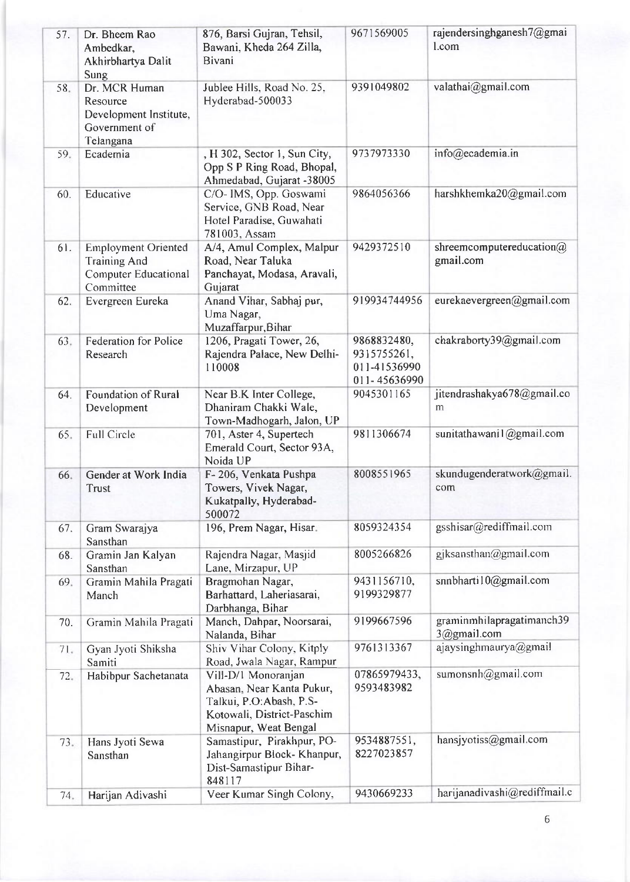| 57. | Dr. Bheem Rao<br>Ambedkar,<br>Akhirbhartya Dalit<br>Sung                                      | 876, Barsi Gujran, Tehsil,<br>Bawani, Kheda 264 Zilla,<br>Bivani                                                                    | 9671569005                                                 | rajendersinghganesh7@gmai<br>l.com       |
|-----|-----------------------------------------------------------------------------------------------|-------------------------------------------------------------------------------------------------------------------------------------|------------------------------------------------------------|------------------------------------------|
| 58. | Dr. MCR Human<br>Resource<br>Development Institute,<br>Government of<br>Telangana             | Jublee Hills, Road No. 25,<br>Hyderabad-500033                                                                                      | 9391049802                                                 | valathai@gmail.com                       |
| 59. | Ecademia                                                                                      | , H 302, Sector 1, Sun City,<br>Opp S P Ring Road, Bhopal,<br>Ahmedabad, Gujarat -38005                                             | 9737973330                                                 | info@ecademia.in                         |
| 60. | Educative                                                                                     | C/O- IMS, Opp. Goswami<br>Service, GNB Road, Near<br>Hotel Paradise, Guwahati<br>781003, Assam                                      | 9864056366                                                 | harshkhemka20@gmail.com                  |
| 61. | <b>Employment Oriented</b><br><b>Training And</b><br><b>Computer Educational</b><br>Committee | A/4, Amul Complex, Malpur<br>Road, Near Taluka<br>Panchayat, Modasa, Aravali,<br>Gujarat                                            | 9429372510                                                 | shreemcomputereducation@<br>gmail.com    |
| 62. | Evergreen Eureka                                                                              | Anand Vihar, Sabhaj pur,<br>Uma Nagar,<br>Muzaffarpur, Bihar                                                                        | 919934744956                                               | eurekaevergreen@gmail.com                |
| 63. | Federation for Police<br>Research                                                             | 1206, Pragati Tower, 26,<br>Rajendra Palace, New Delhi-<br>110008                                                                   | 9868832480,<br>9315755261,<br>011-41536990<br>011-45636990 | chakraborty39@gmail.com                  |
| 64. | Foundation of Rural<br>Development                                                            | Near B.K Inter College,<br>Dhaniram Chakki Wale,<br>Town-Madhogarh, Jalon, UP                                                       | 9045301165                                                 | jitendrashakya678@gmail.co<br>m          |
| 65. | <b>Full Circle</b>                                                                            | 701, Aster 4, Supertech<br>Emerald Court, Sector 93A,<br>Noida UP                                                                   | 9811306674                                                 | sunitathawanil@gmail.com                 |
| 66. | Gender at Work India<br>Trust                                                                 | F-206, Venkata Pushpa<br>Towers, Vivek Nagar,<br>Kukatpally, Hyderabad-<br>500072                                                   | 8008551965                                                 | skundugenderatwork@gmail.<br>com         |
| 67. | Gram Swarajya<br>Sansthan                                                                     | 196, Prem Nagar, Hisar.                                                                                                             | 8059324354                                                 | gsshisar@rediffmail.com                  |
| 68. | Gramin Jan Kalyan<br>Sansthan                                                                 | Rajendra Nagar, Masjid<br>Lane, Mirzapur, UP                                                                                        | 8005266826                                                 | gjksansthan@gmail.com                    |
| 69. | Gramin Mahila Pragati<br>Manch                                                                | Bragmohan Nagar,<br>Barhattard, Laheriasarai,<br>Darbhanga, Bihar                                                                   | 9431156710,<br>9199329877                                  | snnbharti10@gmail.com                    |
| 70. | Gramin Mahila Pragati                                                                         | Manch, Dahpar, Noorsarai,<br>Nalanda, Bihar                                                                                         | 9199667596                                                 | graminmhilapragatimanch39<br>3@gmail.com |
| 71. | Gyan Jyoti Shiksha<br>Samiti                                                                  | Shiv Vihar Colony, Kitply<br>Road, Jwala Nagar, Rampur                                                                              | 9761313367                                                 | ajaysinghmaurya@gmail                    |
| 72. | Habibpur Sachetanata                                                                          | Vill-D/1 Monoranjan<br>Abasan, Near Kanta Pukur,<br>Talkui, P.O: Abash, P.S-<br>Kotowali, District-Paschim<br>Misnapur, Weat Bengal | 07865979433,<br>9593483982                                 | sumonsnh@gmail.com                       |
| 73. | Hans Jyoti Sewa<br>Sansthan                                                                   | Samastipur, Pirakhpur, PO-<br>Jahangirpur Block- Khanpur,<br>Dist-Samastipur Bihar-<br>848117                                       | 9534887551,<br>8227023857                                  | hansjyotiss@gmail.com                    |
| 74. | Harijan Adivashi                                                                              | Veer Kumar Singh Colony,                                                                                                            | 9430669233                                                 | harijanadivashi@rediffmail.c             |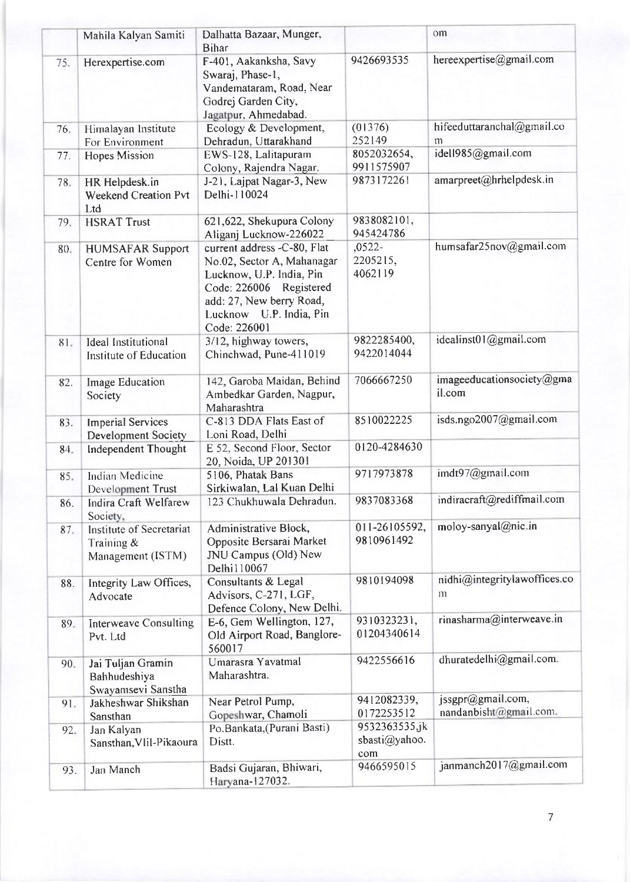|     | Mahila Kalyan Samiti                                           | Dalhatta Bazaar, Munger,<br><b>Bihar</b>                                                                                                                                                |                                       | om                                           |
|-----|----------------------------------------------------------------|-----------------------------------------------------------------------------------------------------------------------------------------------------------------------------------------|---------------------------------------|----------------------------------------------|
| 75. | Herexpertise.com                                               | F-401, Aakanksha, Savy<br>Swaraj, Phase-1,<br>Vandemataram, Road, Near<br>Godrej Garden City,<br>Jagatpur, Ahmedabad.                                                                   | 9426693535                            | hereexpertise@gmail.com                      |
| 76. | Himalayan Institute<br>For Environment                         | Ecology & Development,<br>Dehradun, Uttarakhand                                                                                                                                         | (01376)<br>252149                     | hifeeduttaranchal@gmail.co<br>n <sub>1</sub> |
| 77. | <b>Hopes Mission</b>                                           | EWS-128, Lalitapuram<br>Colony, Rajendra Nagar.                                                                                                                                         | 8052032654,<br>9911575907             | idell985@gmail.com                           |
| 78. | HR Helpdesk.in<br><b>Weekend Creation Pvt</b><br>Ltd           | J-21, Lajpat Nagar-3, New<br>Delhi-110024                                                                                                                                               | 9873172261                            | amarpreet@hrhelpdesk.in                      |
| 79. | <b>HSRAT Trust</b>                                             | 621,622, Shekupura Colony<br>Aliganj Lucknow-226022                                                                                                                                     | 9838082101,<br>945424786              |                                              |
| 80. | <b>HUMSAFAR Support</b><br>Centre for Women                    | current address -C-80, Flat<br>No.02, Sector A, Mahanagar<br>Lucknow, U.P. India, Pin<br>Code: 226006 Registered<br>add: 27, New berry Road,<br>Lucknow U.P. India, Pin<br>Code: 226001 | $,0522-$<br>2205215,<br>4062119       | humsafar25nov@gmail.com                      |
| 81. | <b>Ideal Institutional</b><br>Institute of Education           | 3/12, highway towers,<br>Chinchwad, Pune-411019                                                                                                                                         | 9822285400,<br>9422014044             | idealinst01@gmail.com                        |
| 82. | Image Education<br>Society                                     | 142, Garoba Maidan, Behind<br>Ambedkar Garden, Nagpur,<br>Maharashtra                                                                                                                   | 7066667250                            | imageeducationsociety@gma<br>il.com          |
| 83. | <b>Imperial Services</b><br><b>Development Society</b>         | C-813 DDA Flats East of<br>Loni Road, Delhi                                                                                                                                             | 8510022225                            | isds.ngo2007@gmail.com                       |
| 84. | <b>Independent Thought</b>                                     | E 52, Second Floor, Sector<br>20, Noida, UP 201301                                                                                                                                      | 0120-4284630                          |                                              |
| 85. | Indian Medicine<br>Development Trust                           | 5106, Phatak Bans<br>Sirkiwalan, Lal Kuan Delhi                                                                                                                                         | 9717973878                            | imdt97@gmail.com                             |
| 86. | <b>Indira Craft Welfarew</b><br>Society,                       | 123 Chukhuwala Dehradun.                                                                                                                                                                | 9837083368                            | indiracraft@rediffmail.com                   |
| 87. | Institute of Secretariat<br>Training $\&$<br>Management (ISTM) | Administrative Block,<br>Opposite Bersarai Market<br>JNU Campus (Old) New<br>Delhi110067                                                                                                | 011-26105592,<br>9810961492           | moloy-sanyal@nic.in                          |
| 88. | Integrity Law Offices,<br>Advocate                             | Consultants & Legal<br>Advisors, C-271, LGF,<br>Defence Colony, New Delhi.                                                                                                              | 9810194098                            | nidhi@integritylawoffices.co<br>111          |
| 89. | <b>Interweave Consulting</b><br>Pvt. Ltd                       | E-6, Gem Wellington, 127,<br>Old Airport Road, Banglore-<br>560017                                                                                                                      | 9310323231,<br>01204340614            | rinasharma@interweave.in                     |
| 90. | Jai Tuljan Gramin<br>Bahhudeshiya<br>Swayamsevi Sanstha        | Umarasra Yavatmal<br>Maharashtra.                                                                                                                                                       | 9422556616                            | dhuratedelhi@gmail.com.                      |
| 91. | Jakheshwar Shikshan<br>Sansthan                                | Near Petrol Pump,<br>Gopeshwar, Chamoli                                                                                                                                                 | 9412082339,<br>0172253512             | jssgpr@gmail.com,<br>nandanbisht@gmail.com.  |
| 92. | Jan Kalyan<br>Sansthan, Vlil-Pikaoura                          | Po.Bankata, (Purani Basti)<br>Distt.                                                                                                                                                    | 9532363535.jk<br>sbasti@yahoo.<br>com |                                              |
| 93. | Jan Manch                                                      | Badsi Gujaran, Bhiwari,<br>Haryana-127032.                                                                                                                                              | 9466595015                            | janmanch2017@gmail.com                       |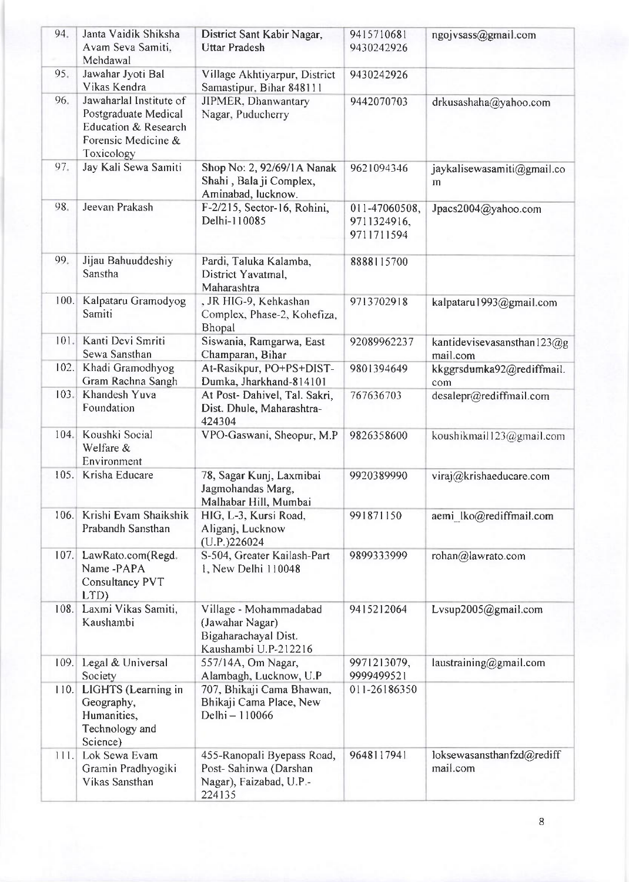| 94.  | Janta Vaidik Shiksha<br>Avam Seva Samiti,<br>Mehdawal                                                        | District Sant Kabir Nagar,<br><b>Uttar Pradesh</b>                                        | 9415710681<br>9430242926                   | ngojvsass@gmail.com                        |
|------|--------------------------------------------------------------------------------------------------------------|-------------------------------------------------------------------------------------------|--------------------------------------------|--------------------------------------------|
| 95.  | Jawahar Jyoti Bal<br>Vikas Kendra                                                                            | Village Akhtiyarpur, District<br>Samastipur, Bihar 848111                                 | 9430242926                                 |                                            |
| 96.  | Jawaharlal Institute of<br>Postgraduate Medical<br>Education & Research<br>Forensic Medicine &<br>Toxicology | JIPMER, Dhanwantary<br>Nagar, Puducherry                                                  | 9442070703                                 | drkusashaha@yahoo.com                      |
| 97.  | Jay Kali Sewa Samiti                                                                                         | Shop No: 2, 92/69/1A Nanak<br>Shahi, Bala ji Complex,<br>Aminabad, lucknow.               | 9621094346                                 | jaykalisewasamiti@gmail.co<br>m            |
| 98.  | Jeevan Prakash                                                                                               | F-2/215, Sector-16, Rohini,<br>Delhi-110085                                               | 011-47060508,<br>9711324916,<br>9711711594 | Jpacs2004@yahoo.com                        |
| 99.  | Jijau Bahuuddeshiy<br>Sanstha                                                                                | Pardi, Taluka Kalamba,<br>District Yavatmal,<br>Maharashtra                               | 8888115700                                 |                                            |
|      | 100. Kalpataru Gramodyog<br>Samiti                                                                           | , JR HIG-9, Kehkashan<br>Complex, Phase-2, Kohefiza,<br>Bhopal                            | 9713702918                                 | kalpataru1993@gmail.com                    |
| 101. | Kanti Devi Smriti<br>Sewa Sansthan                                                                           | Siswania, Ramgarwa, East<br>Champaran, Bihar                                              | 92089962237                                | kantidevisevasansthan $123$ @g<br>mail.com |
| 102. | Khadi Gramodhyog<br>Gram Rachna Sangh                                                                        | At-Rasikpur, PO+PS+DIST-<br>Dumka, Jharkhand-814101                                       | 9801394649                                 | kkggrsdumka92@rediffmail.<br>com           |
| 103. | Khandesh Yuva<br>Foundation                                                                                  | At Post-Dahivel, Tal. Sakri,<br>Dist. Dhule, Maharashtra-<br>424304                       | 767636703                                  | desalepr@rediffmail.com                    |
| 104. | Koushki Social<br>Welfare &<br>Environment                                                                   | VPO-Gaswani, Sheopur, M.P                                                                 | 9826358600                                 | koushikmail123@gmail.com                   |
| 105. | Krisha Educare                                                                                               | 78, Sagar Kunj, Laxmibai<br>Jagmohandas Marg,<br>Malhabar Hill, Mumbai                    | 9920389990                                 | viraj@krishaeducare.com                    |
| 106. | Krishi Evam Shaikshik<br>Prabandh Sansthan                                                                   | HIG, L-3, Kursi Road,<br>Aliganj, Lucknow<br>(U.P.)226024                                 | 991871150                                  | aemi lko@rediffmail.com                    |
|      | 107. LawRato.com(Regd.<br>Name-PAPA<br>Consultancy PVT<br>LTD)                                               | S-504, Greater Kailash-Part<br>1, New Delhi 110048                                        | 9899333999                                 | rohan@lawrato.com                          |
|      | 108. Laxmi Vikas Samiti,<br>Kaushambi                                                                        | Village - Mohammadabad<br>(Jawahar Nagar)<br>Bigaharachayal Dist.<br>Kaushambi U.P-212216 | 9415212064                                 | Lysup2005@gmail.com                        |
| 109. | Legal & Universal<br>Society                                                                                 | 557/14A, Om Nagar,<br>Alambagh, Lucknow, U.P                                              | 9971213079,<br>9999499521                  | laustraining@gmail.com                     |
|      | 110. LIGHTS (Learning in<br>Geography,<br>Humanities,<br>Technology and<br>Science)                          | 707, Bhikaji Cama Bhawan,<br>Bhikaji Cama Place, New<br>Delhi - 110066                    | 011-26186350                               |                                            |
|      | 111. Lok Sewa Evam<br>Gramin Pradhyogiki<br>Vikas Sansthan                                                   | 455-Ranopali Byepass Road,<br>Post-Sahinwa (Darshan<br>Nagar), Faizabad, U.P -<br>224135  | 9648117941                                 | loksewasansthanfzd@rediff<br>mail.com      |